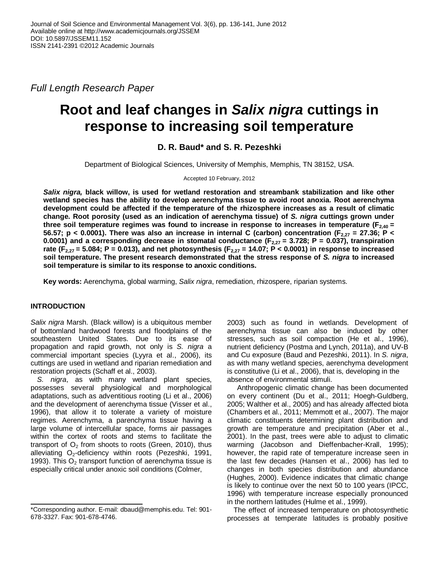*Full Length Research Paper*

# **Root and leaf changes in** *Salix nigra* **cuttings in response to increasing soil temperature**

## **D. R. Baud\* and S. R. Pezeshki**

Department of Biological Sciences, University of Memphis, Memphis, TN 38152, USA.

#### Accepted 10 February, 2012

*Salix nigra,* **black willow, is used for wetland restoration and streambank stabilization and like other wetland species has the ability to develop aerenchyma tissue to avoid root anoxia. Root aerenchyma development could be affected if the temperature of the rhizosphere increases as a result of climatic change. Root porosity (used as an indication of aerenchyma tissue) of** *S. nigra* **cuttings grown under three soil temperature regimes was found to increase in response to increases in temperature (F2,40 = 56.57; p < 0.0001). There was also an increase in internal C (carbon) concentration (F2,27 = 27.36; P < 0.0001) and a corresponding decrease in stomatal conductance (F2,27 = 3.728; P = 0.037), transpiration rate** ( $F_{2,27}$  = 5.084; P = 0.013), and net photosynthesis ( $F_{2,27}$  = 14.07; P < 0.0001) in response to increased **soil temperature. The present research demonstrated that the stress response of** *S. nigra* **to increased soil temperature is similar to its response to anoxic conditions.**

**Key words:** Aerenchyma, global warming, *Salix nigra*, remediation, rhizospere, riparian systems.

### **INTRODUCTION**

*Salix nigra* Marsh. (Black willow) is a ubiquitous member of bottomland hardwood forests and floodplains of the southeastern United States. Due to its ease of propagation and rapid growth, not only is *S. nigra* a commercial important species (Lyyra et al., 2006), its cuttings are used in wetland and riparian remediation and restoration projects (Schaff et al., 2003).

*S. nigra*, as with many wetland plant species, possesses several physiological and morphological adaptations, such as adventitious rooting (Li et al., 2006) and the development of aerenchyma tissue (Visser et al., 1996), that allow it to tolerate a variety of moisture regimes. Aerenchyma, a parenchyma tissue having a large volume of intercellular space, forms air passages within the cortex of roots and stems to facilitate the transport of  $O<sub>2</sub>$  from shoots to roots (Green, 2010), thus alleviating  $O_2$ -deficiency within roots (Pezeshki, 1991, 1993). This  $O<sub>2</sub>$  transport function of aerenchyma tissue is especially critical under anoxic soil conditions (Colmer,

2003) such as found in wetlands. Development of aerenchyma tissue can also be induced by other stresses, such as soil compaction (He et al., 1996), nutrient deficiency (Postma and Lynch, 2011a), and UV-B and Cu exposure (Baud and Pezeshki, 2011). In *S. nigra*, as with many wetland species, aerenchyma development is constitutive (Li et al., 2006), that is, developing in the absence of environmental stimuli.

 Anthropogenic climatic change has been documented on every continent (Du et al., 2011; Hoegh-Guldberg, 2005; Walther et al., 2005) and has already affected biota (Chambers et al., 2011; Memmott et al., 2007). The major climatic constituents determining plant distribution and growth are temperature and precipitation (Aber et al., 2001). In the past, trees were able to adjust to climatic warming (Jacobson and Dieffenbacher-Krall, 1995); however, the rapid rate of temperature increase seen in the last few decades (Hansen et al., 2006) has led to changes in both species distribution and abundance (Hughes, 2000). Evidence indicates that climatic change is likely to continue over the next 50 to 100 years (IPCC, 1996) with temperature increase especially pronounced in the northern latitudes (Hulme et al., 1999).

The effect of increased temperature on photosynthetic processes at temperate latitudes is probably positive

<sup>\*</sup>Corresponding author. E-mail: dbaud@memphis.edu. Tel: 901- 678-3327. Fax: 901-678-4746.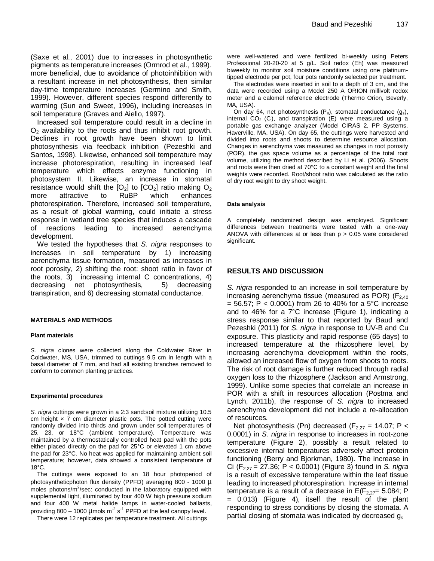(Saxe et al., 2001) due to increases in photosynthetic pigments as temperature increases (Ormrod et al., 1999). more beneficial, due to avoidance of photoinhibition with a resultant increase in net photosynthesis, then similar day-time temperature increases (Germino and Smith, 1999). However, different species respond differently to warming (Sun and Sweet, 1996), including increases in soil temperature (Graves and Aiello, 1997).

Increased soil temperature could result in a decline in  $O<sub>2</sub>$  availability to the roots and thus inhibit root growth. Declines in root growth have been shown to limit photosynthesis via feedback inhibition (Pezeshki and Santos, 1998). Likewise, enhanced soil temperature may increase photorespiration, resulting in increased leaf temperature which effects enzyme functioning in photosystem II. Likewise, an increase in stomatal resistance would shift the  $[O_2]$  to  $[CO_2]$  ratio making  $O_2$ more attractive to RuBP which enhances photorespiration. Therefore, increased soil temperature, as a result of global warming, could initiate a stress response in wetland tree species that induces a cascade of reactions leading to increased aerenchyma development.

We tested the hypotheses that *S. nigra* responses to increases in soil temperature by 1) increasing aerenchyma tissue formation, measured as increases in root porosity, 2) shifting the root: shoot ratio in favor of the roots, 3) increasing internal C concentrations, 4) decreasing net photosynthesis, 5) decreasing transpiration, and 6) decreasing stomatal conductance.

#### **MATERIALS AND METHODS**

#### **Plant materials**

*S. nigra* clones were collected along the Coldwater River in Coldwater, MS, USA, trimmed to cuttings 9.5 cm in length with a basal diameter of 7 mm, and had all existing branches removed to conform to common planting practices.

#### **Experimental procedures**

*S. nigra* cuttings were grown in a 2:3 sand:soil mixture utilizing 10.5 cm height  $\times$  7 cm diameter plastic pots. The potted cutting were randomly divided into thirds and grown under soil temperatures of 25, 23, or 18°C (ambient temperature). Temperature was maintained by a thermostatically controlled heat pad with the pots either placed directly on the pad for 25°C or elevated 1 cm above the pad for 23°C. No heat was applied for maintaining ambient soil temperature; however, data showed a consistent temperature of 18°C.

The cuttings were exposed to an 18 hour photoperiod of photosyntheticphoton flux density (PPFD) averaging 800 - 1000 µ moles photons/ $m^2$ /sec: conducted in the laboratory equipped with supplemental light, illuminated by four 400 W high pressure sodium and four 400 W metal halide lamps in water-cooled ballasts, providing 800 – 1000 µmols m<sup>-2</sup> s<sup>-1</sup> PPFD at the leaf canopy level.

There were 12 replicates per temperature treatment. All cuttings

were well-watered and were fertilized bi-weekly using Peters Professional 20-20-20 at 5 g/L. Soil redox (Eh) was measured biweekly to monitor soil moisture conditions using one platinumtipped electrode per pot, four pots randomly selected per treatment.

The electrodes were inserted in soil to a depth of 3 cm, and the data were recorded using a Model 250 A ORION millivolt redox meter and a calomel reference electrode (Thermo Orion, Beverly, MA, USA).

On day 64, net photosynthesis  $(P_n)$ , stomatal conductance  $(g_s)$ , internal  $CO<sub>2</sub>$  (C<sub>i</sub>), and transpiration (E) were measured using a portable gas exchange analyzer (Model CIRAS 2, PP Systems, Haverville, MA, USA). On day 65, the cuttings were harvested and divided into roots and shoots to determine resource allocation. Changes in aerenchyma was measured as changes in root porosity (POR), the gas space volume as a percentage of the total root volume, utilizing the method described by Li et al. (2006). Shoots and roots were then dried at 70°C to a constant weight and the final weights were recorded. Root/shoot ratio was calculated as the ratio of dry root weight to dry shoot weight.

#### **Data analysis**

A completely randomized design was employed. Significant differences between treatments were tested with a one-way ANOVA with differences at or less than  $p > 0.05$  were considered significant.

#### **RESULTS AND DISCUSSION**

*S. nigra* responded to an increase in soil temperature by increasing aerenchyma tissue (measured as POR) ( $F_{2,40}$ )  $= 56.57$ ; P < 0.0001) from 26 to 40% for a 5°C increase and to 46% for a 7°C increase (Figure 1), indicating a stress response similar to that reported by Baud and Pezeshki (2011) for *S. nigra* in response to UV-B and Cu exposure. This plasticity and rapid response (65 days) to increased temperature at the rhizosphere level, by increasing aerenchyma development within the roots, allowed an increased flow of oxygen from shoots to roots. The risk of root damage is further reduced through radial oxygen loss to the rhizosphere (Jackson and Armstrong, 1999). Unlike some species that correlate an increase in POR with a shift in resources allocation (Postma and Lynch, 2011b), the response of *S. nigra* to increased aerenchyma development did not include a re-allocation of resources.

Net photosynthesis (Pn) decreased ( $F_{2,27}$  = 14.07; P < 0.0001) in *S. nigra* in response to increases in root-zone temperature (Figure 2), possibly a result related to excessive internal temperatures adversely affect protein functioning (Berry and Bjorkman, 1980). The increase in Ci (F2,27 = 27.36; P < 0.0001) (Figure 3) found in *S. nigra* is a result of excessive temperature within the leaf tissue leading to increased photorespiration. Increase in internal temperature is a result of a decrease in  $E(F_{2,27}= 5.084; P)$ = 0.013) (Figure 4), itself the result of the plant responding to stress conditions by closing the stomata. A partial closing of stomata was indicated by decreased  $q_s$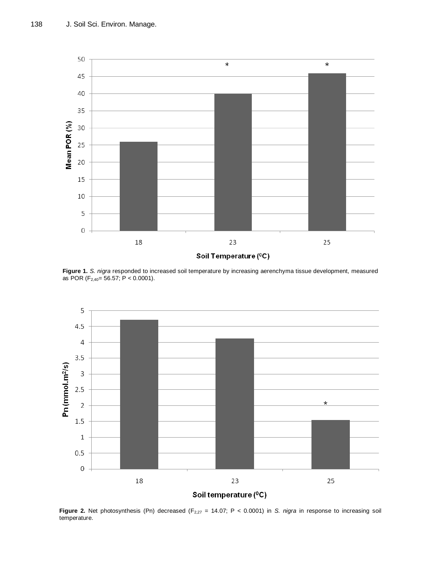

**Figure 1.** *S. nigra* responded to increased soil temperature by increasing aerenchyma tissue development, measured as POR (F<sub>2,40</sub>= 56.57; P < 0.0001).



**Figure 2.** Net photosynthesis (Pn) decreased ( $F_{2,27}$  = 14.07; P < 0.0001) in *S. nigra* in response to increasing soil temperature.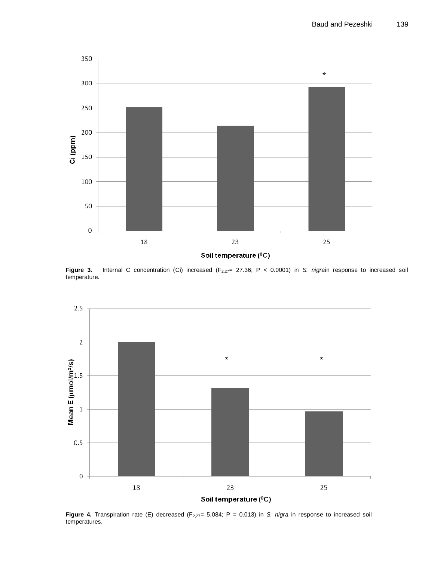

Soil temperature (°C)

Figure 3. Internal C concentration (Ci) increased (F<sub>2,27</sub>= 27.36; P < 0.0001) in *S. nigrain response to increased soil* temperature.



**Figure 4.** Transpiration rate (E) decreased (F<sub>2,27</sub>= 5.084; P = 0.013) in *S. nigra* in response to increased soil temperatures.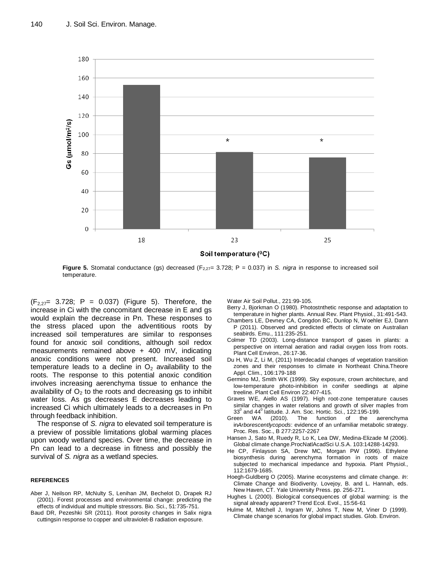

**Figure 5.** Stomatal conductance (gs) decreased (F<sub>2,27</sub>= 3.728; P = 0.037) in *S. nigra* in response to increased soil temperature.

 $(F_{2,27}= 3.728; P = 0.037)$  (Figure 5). Therefore, the increase in Ci with the concomitant decrease in E and gs would explain the decrease in Pn. These responses to the stress placed upon the adventitious roots by increased soil temperatures are similar to responses found for anoxic soil conditions, although soil redox measurements remained above + 400 mV, indicating anoxic conditions were not present. Increased soil temperature leads to a decline in  $O<sub>2</sub>$  availability to the roots. The response to this potential anoxic condition involves increasing aerenchyma tissue to enhance the availability of  $O<sub>2</sub>$  to the roots and decreasing gs to inhibit water loss. As gs decreases E decreases leading to increased Ci which ultimately leads to a decreases in Pn through feedback inhibition.

The response of *S. nigra* to elevated soil temperature is a preview of possible limitations global warming places upon woody wetland species. Over time, the decrease in Pn can lead to a decrease in fitness and possibly the survival of *S. nigra* as a wetland species.

#### **REFERENCES**

- Aber J, Neilson RP, McNulty S, Lenihan JM, Bechelot D, Drapek RJ (2001). Forest processes and environmental change: predicting the effects of individual and multiple stressors. Bio. Sci., 51:735-751.
- Baud DR, Pezeshki SR (2011). Root porosity changes in Salix nigra cuttingsin response to copper and ultraviolet-B radiation exposure.

Water Air Soil Pollut., 221:99-105.

- Berry J, Bjorkman O (1980). Photostnthetic response and adaptation to temperature in higher plants. Annual Rev. Plant Physiol., 31:491-543.
- Chambers LE, Devney CA, Congdon BC, Dunlop N, Woehler EJ, Dann P (2011). Observed and predicted effects of climate on Australian seabirds. Emu., 111:235-251.
- Colmer TD (2003). Long-distance transport of gases in plants: a perspective on internal aeration and radial oxygen loss from roots. Plant Cell Environ., 26:17-36.
- Du H, Wu Z, Li M, (2011) Interdecadal changes of vegetation transition zones and their responses to climate in Northeast China.Theore Appl. Clim., 106:179-188
- Germino MJ, Smith WK (1999). Sky exposure, crown architecture, and low-temperature photo-inhibition in conifer seedlings at alpine treeline. Plant Cell Environ 22:407-415.
- Graves WE, Aiello AS (1997). High root-zone temperature causes similar changes in water relations and growth of silver maples from  $33^{\rm o}$  and  $44^{\rm o}$  latitude. J. Am. Soc. Hortic. Sci., 122:195-199.
- Green WA (2010). The function of the aerenchyma in*Arborescentlycopods*: evidence of an unfamiliar metabolic strategy. Proc. Res. Soc., B 277:2257-2267
- Hansen J, Sato M, Ruedy R, Lo K, Lea DW, Medina-Elizade M (2006). Global climate change.ProcNatlAcadSci U.S.A. 103:14288-14293.
- He CP, Finlayson SA, Drew MC, Morgan PW (1996). Ethylene biosynthesis during aerenchyma formation in roots of maize subjected to mechanical impedance and hypoxia. Plant Physiol., 112:1679-1685.
- Hoegh-Guldberg O (2005). Marine ecosystems and climate change. *In*: Climate Change and Biodiverity. Lovejoy, B. and L. Hannah, eds. New Haven, CT. Yale University Press. pp. 256-271.
- Hughes L (2000). Biological consequences of global warming: is the signal already apparent? Trend Ecol. Evol., 15:56-61
- Hulme M, Mitchell J, Ingram W, Johns T, New M, Viner D (1999). Climate change scenarios for global impact studies. Glob. Environ.